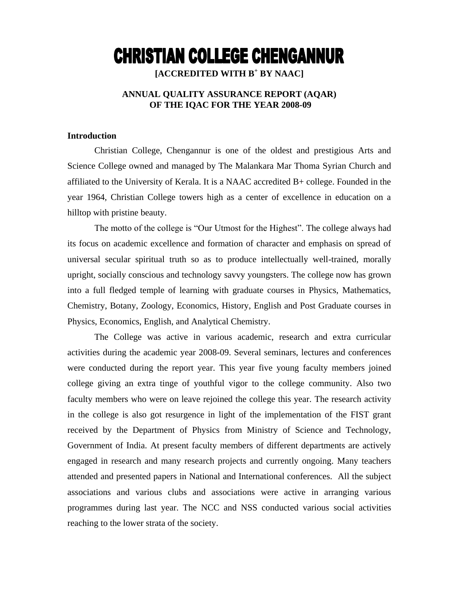# **CHRISTIAN COLLEGE CHENGANNUR**

**[ACCREDITED WITH B<sup>+</sup> BY NAAC]**

# **ANNUAL QUALITY ASSURANCE REPORT (AQAR) OF THE IQAC FOR THE YEAR 2008-09**

# **Introduction**

Christian College, Chengannur is one of the oldest and prestigious Arts and Science College owned and managed by The Malankara Mar Thoma Syrian Church and affiliated to the University of Kerala. It is a NAAC accredited B+ college. Founded in the year 1964, Christian College towers high as a center of excellence in education on a hilltop with pristine beauty.

The motto of the college is "Our Utmost for the Highest". The college always had its focus on academic excellence and formation of character and emphasis on spread of universal secular spiritual truth so as to produce intellectually well-trained, morally upright, socially conscious and technology savvy youngsters. The college now has grown into a full fledged temple of learning with graduate courses in Physics, Mathematics, Chemistry, Botany, Zoology, Economics, History, English and Post Graduate courses in Physics, Economics, English, and Analytical Chemistry.

The College was active in various academic, research and extra curricular activities during the academic year 2008-09. Several seminars, lectures and conferences were conducted during the report year. This year five young faculty members joined college giving an extra tinge of youthful vigor to the college community. Also two faculty members who were on leave rejoined the college this year. The research activity in the college is also got resurgence in light of the implementation of the FIST grant received by the Department of Physics from Ministry of Science and Technology, Government of India. At present faculty members of different departments are actively engaged in research and many research projects and currently ongoing. Many teachers attended and presented papers in National and International conferences. All the subject associations and various clubs and associations were active in arranging various programmes during last year. The NCC and NSS conducted various social activities reaching to the lower strata of the society.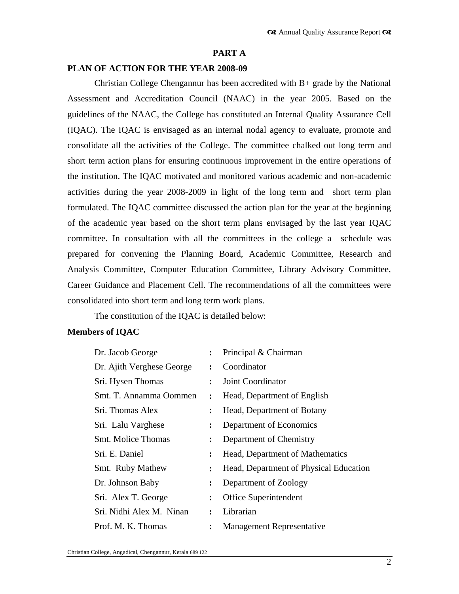## **PART A**

## **PLAN OF ACTION FOR THE YEAR 2008-09**

Christian College Chengannur has been accredited with B+ grade by the National Assessment and Accreditation Council (NAAC) in the year 2005. Based on the guidelines of the NAAC, the College has constituted an Internal Quality Assurance Cell (IQAC). The IQAC is envisaged as an internal nodal agency to evaluate, promote and consolidate all the activities of the College. The committee chalked out long term and short term action plans for ensuring continuous improvement in the entire operations of the institution. The IQAC motivated and monitored various academic and non-academic activities during the year 2008-2009 in light of the long term and short term plan formulated. The IQAC committee discussed the action plan for the year at the beginning of the academic year based on the short term plans envisaged by the last year IQAC committee. In consultation with all the committees in the college a schedule was prepared for convening the Planning Board, Academic Committee, Research and Analysis Committee, Computer Education Committee, Library Advisory Committee, Career Guidance and Placement Cell. The recommendations of all the committees were consolidated into short term and long term work plans.

The constitution of the IQAC is detailed below:

# **Members of IQAC**

| Dr. Jacob George          |                      | Principal & Chairman                   |
|---------------------------|----------------------|----------------------------------------|
| Dr. Ajith Verghese George | $\ddot{\cdot}$       | Coordinator                            |
| Sri. Hysen Thomas         | $\ddot{\cdot}$       | Joint Coordinator                      |
| Smt. T. Annamma Oommen    | ፡                    | Head, Department of English            |
| Sri. Thomas Alex          | $\ddot{\cdot}$       | Head, Department of Botany             |
| Sri. Lalu Varghese        | ፡                    | Department of Economics                |
| <b>Smt. Molice Thomas</b> | $\ddot{\cdot}$       | Department of Chemistry                |
| Sri. E. Daniel            | ፡                    | Head, Department of Mathematics        |
| Smt. Ruby Mathew          | $\ddot{\phantom{a}}$ | Head, Department of Physical Education |
| Dr. Johnson Baby          | $\ddot{\phantom{a}}$ | Department of Zoology                  |
| Sri. Alex T. George       | $\ddot{\cdot}$       | Office Superintendent                  |
| Sri. Nidhi Alex M. Ninan  | $\ddot{\cdot}$       | Librarian                              |
| Prof. M. K. Thomas        | ፡                    | <b>Management Representative</b>       |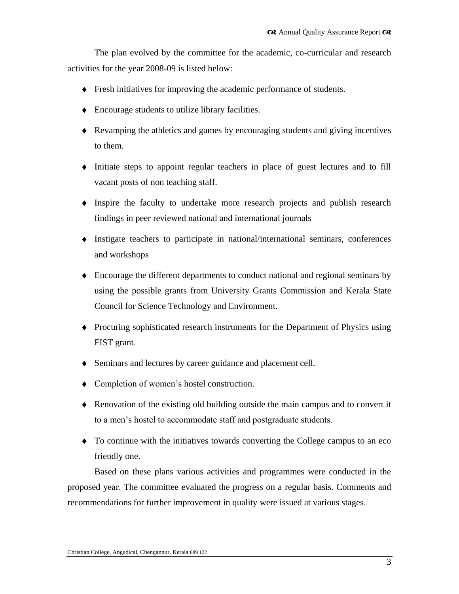The plan evolved by the committee for the academic, co-curricular and research activities for the year 2008-09 is listed below:

- Fresh initiatives for improving the academic performance of students.
- Encourage students to utilize library facilities.
- Revamping the athletics and games by encouraging students and giving incentives to them.
- Initiate steps to appoint regular teachers in place of guest lectures and to fill vacant posts of non teaching staff.
- Inspire the faculty to undertake more research projects and publish research findings in peer reviewed national and international journals
- Instigate teachers to participate in national/international seminars, conferences and workshops
- Encourage the different departments to conduct national and regional seminars by using the possible grants from University Grants Commission and Kerala State Council for Science Technology and Environment.
- Procuring sophisticated research instruments for the Department of Physics using FIST grant.
- Seminars and lectures by career guidance and placement cell.
- Completion of women's hostel construction.
- Renovation of the existing old building outside the main campus and to convert it to a men"s hostel to accommodate staff and postgraduate students.
- To continue with the initiatives towards converting the College campus to an eco friendly one.

Based on these plans various activities and programmes were conducted in the proposed year. The committee evaluated the progress on a regular basis. Comments and recommendations for further improvement in quality were issued at various stages.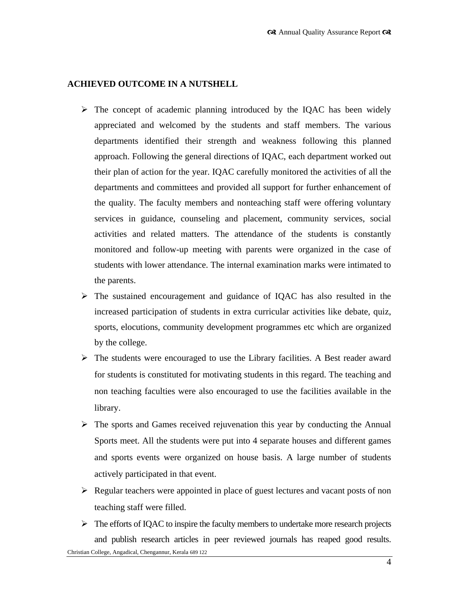# **ACHIEVED OUTCOME IN A NUTSHELL**

- $\triangleright$  The concept of academic planning introduced by the IQAC has been widely appreciated and welcomed by the students and staff members. The various departments identified their strength and weakness following this planned approach. Following the general directions of IQAC, each department worked out their plan of action for the year. IQAC carefully monitored the activities of all the departments and committees and provided all support for further enhancement of the quality. The faculty members and nonteaching staff were offering voluntary services in guidance, counseling and placement, community services, social activities and related matters. The attendance of the students is constantly monitored and follow-up meeting with parents were organized in the case of students with lower attendance. The internal examination marks were intimated to the parents.
- $\triangleright$  The sustained encouragement and guidance of IQAC has also resulted in the increased participation of students in extra curricular activities like debate, quiz, sports, elocutions, community development programmes etc which are organized by the college.
- $\triangleright$  The students were encouraged to use the Library facilities. A Best reader award for students is constituted for motivating students in this regard. The teaching and non teaching faculties were also encouraged to use the facilities available in the library.
- $\triangleright$  The sports and Games received rejuvenation this year by conducting the Annual Sports meet. All the students were put into 4 separate houses and different games and sports events were organized on house basis. A large number of students actively participated in that event.
- $\triangleright$  Regular teachers were appointed in place of guest lectures and vacant posts of non teaching staff were filled.
- Christian College, Angadical, Chengannur, Kerala 689 122  $\triangleright$  The efforts of IQAC to inspire the faculty members to undertake more research projects and publish research articles in peer reviewed journals has reaped good results.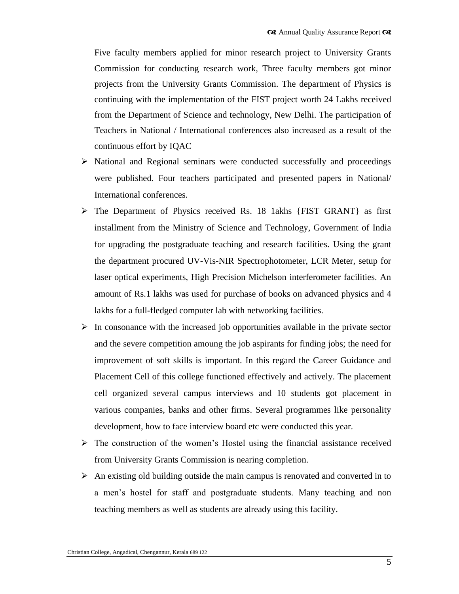Five faculty members applied for minor research project to University Grants Commission for conducting research work, Three faculty members got minor projects from the University Grants Commission. The department of Physics is continuing with the implementation of the FIST project worth 24 Lakhs received from the Department of Science and technology, New Delhi. The participation of Teachers in National / International conferences also increased as a result of the continuous effort by IQAC

- $\triangleright$  National and Regional seminars were conducted successfully and proceedings were published. Four teachers participated and presented papers in National/ International conferences.
- $\triangleright$  The Department of Physics received Rs. 18 1akhs {FIST GRANT} as first installment from the Ministry of Science and Technology, Government of India for upgrading the postgraduate teaching and research facilities. Using the grant the department procured UV-Vis-NIR Spectrophotometer, LCR Meter, setup for laser optical experiments, High Precision Michelson interferometer facilities. An amount of Rs.1 lakhs was used for purchase of books on advanced physics and 4 lakhs for a full-fledged computer lab with networking facilities.
- $\triangleright$  In consonance with the increased job opportunities available in the private sector and the severe competition amoung the job aspirants for finding jobs; the need for improvement of soft skills is important. In this regard the Career Guidance and Placement Cell of this college functioned effectively and actively. The placement cell organized several campus interviews and 10 students got placement in various companies, banks and other firms. Several programmes like personality development, how to face interview board etc were conducted this year.
- $\triangleright$  The construction of the women's Hostel using the financial assistance received from University Grants Commission is nearing completion.
- $\triangleright$  An existing old building outside the main campus is renovated and converted in to a men"s hostel for staff and postgraduate students. Many teaching and non teaching members as well as students are already using this facility.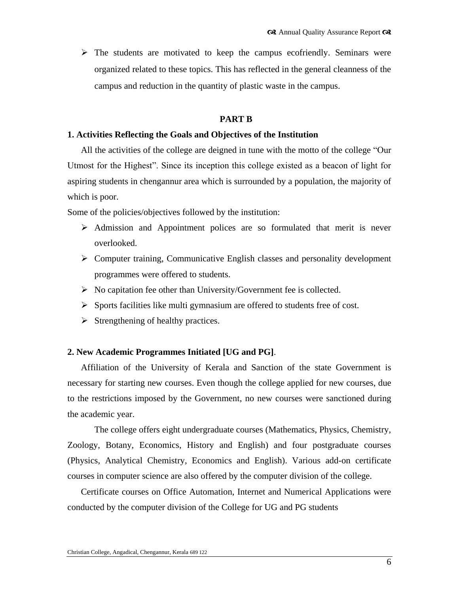$\triangleright$  The students are motivated to keep the campus ecofriendly. Seminars were organized related to these topics. This has reflected in the general cleanness of the campus and reduction in the quantity of plastic waste in the campus.

## **PART B**

#### **1. Activities Reflecting the Goals and Objectives of the Institution**

All the activities of the college are deigned in tune with the motto of the college "Our Utmost for the Highest". Since its inception this college existed as a beacon of light for aspiring students in chengannur area which is surrounded by a population, the majority of which is poor.

Some of the policies/objectives followed by the institution:

- $\triangleright$  Admission and Appointment polices are so formulated that merit is never overlooked.
- $\triangleright$  Computer training, Communicative English classes and personality development programmes were offered to students.
- $\triangleright$  No capitation fee other than University/Government fee is collected.
- $\triangleright$  Sports facilities like multi gymnasium are offered to students free of cost.
- $\triangleright$  Strengthening of healthy practices.

## **2. New Academic Programmes Initiated [UG and PG]**.

Affiliation of the University of Kerala and Sanction of the state Government is necessary for starting new courses. Even though the college applied for new courses, due to the restrictions imposed by the Government, no new courses were sanctioned during the academic year.

The college offers eight undergraduate courses (Mathematics, Physics, Chemistry, Zoology, Botany, Economics, History and English) and four postgraduate courses (Physics, Analytical Chemistry, Economics and English). Various add-on certificate courses in computer science are also offered by the computer division of the college.

Certificate courses on Office Automation, Internet and Numerical Applications were conducted by the computer division of the College for UG and PG students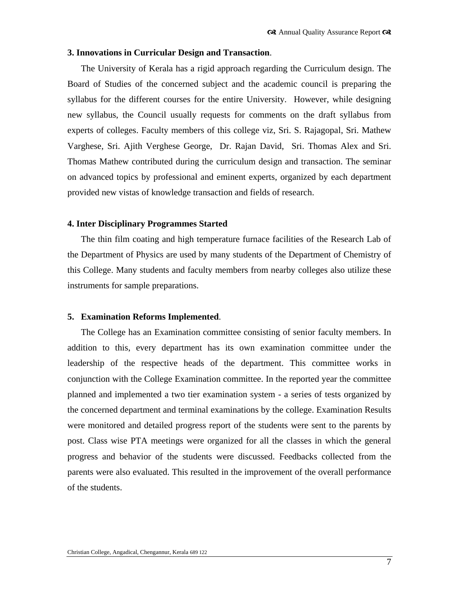#### **3. Innovations in Curricular Design and Transaction**.

The University of Kerala has a rigid approach regarding the Curriculum design. The Board of Studies of the concerned subject and the academic council is preparing the syllabus for the different courses for the entire University. However, while designing new syllabus, the Council usually requests for comments on the draft syllabus from experts of colleges. Faculty members of this college viz, Sri. S. Rajagopal, Sri. Mathew Varghese, Sri. Ajith Verghese George, Dr. Rajan David, Sri. Thomas Alex and Sri. Thomas Mathew contributed during the curriculum design and transaction. The seminar on advanced topics by professional and eminent experts, organized by each department provided new vistas of knowledge transaction and fields of research.

#### **4. Inter Disciplinary Programmes Started**

The thin film coating and high temperature furnace facilities of the Research Lab of the Department of Physics are used by many students of the Department of Chemistry of this College. Many students and faculty members from nearby colleges also utilize these instruments for sample preparations.

#### **5. Examination Reforms Implemented**.

The College has an Examination committee consisting of senior faculty members. In addition to this, every department has its own examination committee under the leadership of the respective heads of the department. This committee works in conjunction with the College Examination committee. In the reported year the committee planned and implemented a two tier examination system - a series of tests organized by the concerned department and terminal examinations by the college. Examination Results were monitored and detailed progress report of the students were sent to the parents by post. Class wise PTA meetings were organized for all the classes in which the general progress and behavior of the students were discussed. Feedbacks collected from the parents were also evaluated. This resulted in the improvement of the overall performance of the students.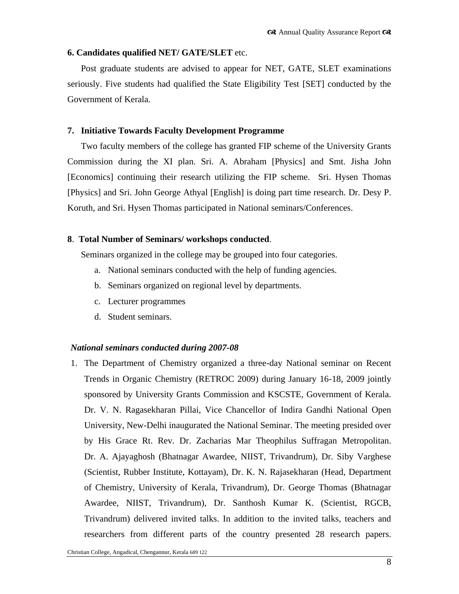## **6. Candidates qualified NET/ GATE/SLET** etc.

Post graduate students are advised to appear for NET, GATE, SLET examinations seriously. Five students had qualified the State Eligibility Test [SET] conducted by the Government of Kerala.

# **7. Initiative Towards Faculty Development Programme**

Two faculty members of the college has granted FIP scheme of the University Grants Commission during the XI plan. Sri. A. Abraham [Physics] and Smt. Jisha John [Economics] continuing their research utilizing the FIP scheme. Sri. Hysen Thomas [Physics] and Sri. John George Athyal [English] is doing part time research. Dr. Desy P. Koruth, and Sri. Hysen Thomas participated in National seminars/Conferences.

# **8**. **Total Number of Seminars/ workshops conducted**.

Seminars organized in the college may be grouped into four categories.

- a. National seminars conducted with the help of funding agencies.
- b. Seminars organized on regional level by departments.
- c. Lecturer programmes
- d. Student seminars.

# *National seminars conducted during 2007-08*

1. The Department of Chemistry organized a three-day National seminar on Recent Trends in Organic Chemistry (RETROC 2009) during January 16-18, 2009 jointly sponsored by University Grants Commission and KSCSTE, Government of Kerala. Dr. V. N. Ragasekharan Pillai, Vice Chancellor of Indira Gandhi National Open University, New-Delhi inaugurated the National Seminar. The meeting presided over by His Grace Rt. Rev. Dr. Zacharias Mar Theophilus Suffragan Metropolitan. Dr. A. Ajayaghosh (Bhatnagar Awardee, NIIST, Trivandrum), Dr. Siby Varghese (Scientist, Rubber Institute, Kottayam), Dr. K. N. Rajasekharan (Head, Department of Chemistry, University of Kerala, Trivandrum), Dr. George Thomas (Bhatnagar Awardee, NIIST, Trivandrum), Dr. Santhosh Kumar K. (Scientist, RGCB, Trivandrum) delivered invited talks. In addition to the invited talks, teachers and researchers from different parts of the country presented 28 research papers.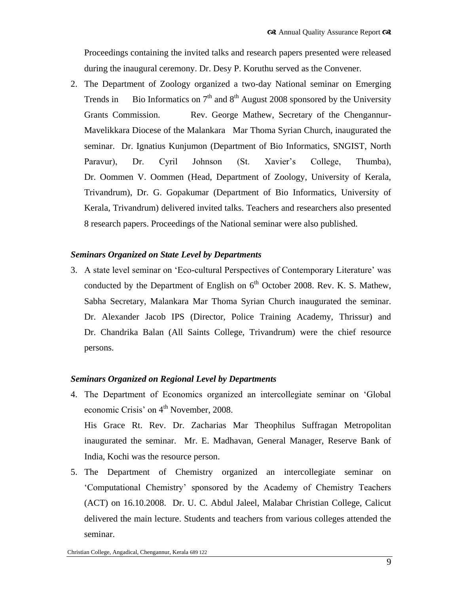Proceedings containing the invited talks and research papers presented were released during the inaugural ceremony. Dr. Desy P. Koruthu served as the Convener.

2. The Department of Zoology organized a two-day National seminar on Emerging Trends in Bio Informatics on  $7<sup>th</sup>$  and  $8<sup>th</sup>$  August 2008 sponsored by the University Grants Commission. Rev. George Mathew, Secretary of the Chengannur-Mavelikkara Diocese of the Malankara Mar Thoma Syrian Church, inaugurated the seminar. Dr. Ignatius Kunjumon (Department of Bio Informatics, SNGIST, North Paravur), Dr. Cyril Johnson (St. Xavier"s College, Thumba), Dr. Oommen V. Oommen (Head, Department of Zoology, University of Kerala, Trivandrum), Dr. G. Gopakumar (Department of Bio Informatics, University of Kerala, Trivandrum) delivered invited talks. Teachers and researchers also presented 8 research papers. Proceedings of the National seminar were also published.

# *Seminars Organized on State Level by Departments*

3. A state level seminar on "Eco-cultural Perspectives of Contemporary Literature" was conducted by the Department of English on  $6<sup>th</sup>$  October 2008. Rev. K. S. Mathew, Sabha Secretary, Malankara Mar Thoma Syrian Church inaugurated the seminar. Dr. Alexander Jacob IPS (Director, Police Training Academy, Thrissur) and Dr. Chandrika Balan (All Saints College, Trivandrum) were the chief resource persons.

# *Seminars Organized on Regional Level by Departments*

4. The Department of Economics organized an intercollegiate seminar on "Global economic Crisis' on  $4<sup>th</sup>$  November, 2008.

His Grace Rt. Rev. Dr. Zacharias Mar Theophilus Suffragan Metropolitan inaugurated the seminar. Mr. E. Madhavan, General Manager, Reserve Bank of India, Kochi was the resource person.

5. The Department of Chemistry organized an intercollegiate seminar on "Computational Chemistry" sponsored by the Academy of Chemistry Teachers (ACT) on 16.10.2008. Dr. U. C. Abdul Jaleel, Malabar Christian College, Calicut delivered the main lecture. Students and teachers from various colleges attended the seminar.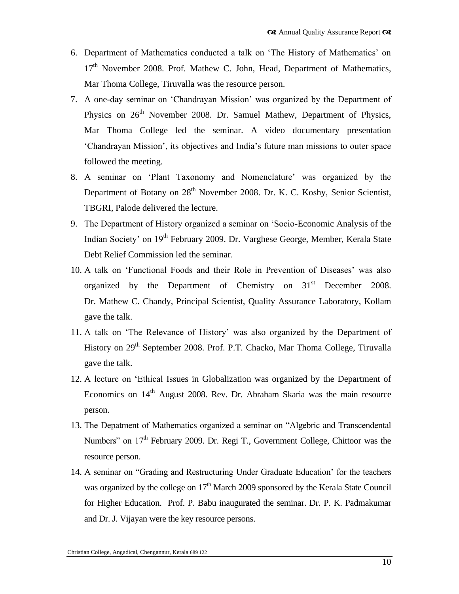- 6. Department of Mathematics conducted a talk on "The History of Mathematics" on  $17<sup>th</sup>$  November 2008. Prof. Mathew C. John, Head, Department of Mathematics, Mar Thoma College, Tiruvalla was the resource person.
- 7. A one-day seminar on "Chandrayan Mission" was organized by the Department of Physics on  $26<sup>th</sup>$  November 2008. Dr. Samuel Mathew, Department of Physics, Mar Thoma College led the seminar. A video documentary presentation "Chandrayan Mission", its objectives and India"s future man missions to outer space followed the meeting.
- 8. A seminar on "Plant Taxonomy and Nomenclature" was organized by the Department of Botany on 28<sup>th</sup> November 2008. Dr. K. C. Koshy, Senior Scientist, TBGRI, Palode delivered the lecture.
- 9. The Department of History organized a seminar on "Socio-Economic Analysis of the Indian Society' on 19<sup>th</sup> February 2009. Dr. Varghese George, Member, Kerala State Debt Relief Commission led the seminar.
- 10. A talk on "Functional Foods and their Role in Prevention of Diseases" was also organized by the Department of Chemistry on 31<sup>st</sup> December 2008. Dr. Mathew C. Chandy, Principal Scientist, Quality Assurance Laboratory, Kollam gave the talk.
- 11. A talk on "The Relevance of History" was also organized by the Department of History on 29<sup>th</sup> September 2008. Prof. P.T. Chacko, Mar Thoma College, Tiruvalla gave the talk.
- 12. A lecture on "Ethical Issues in Globalization was organized by the Department of Economics on  $14<sup>th</sup>$  August 2008. Rev. Dr. Abraham Skaria was the main resource person.
- 13. The Depatment of Mathematics organized a seminar on "Algebric and Transcendental Numbers" on  $17<sup>th</sup>$  February 2009. Dr. Regi T., Government College, Chittoor was the resource person.
- 14. A seminar on "Grading and Restructuring Under Graduate Education" for the teachers was organized by the college on  $17<sup>th</sup>$  March 2009 sponsored by the Kerala State Council for Higher Education. Prof. P. Babu inaugurated the seminar. Dr. P. K. Padmakumar and Dr. J. Vijayan were the key resource persons.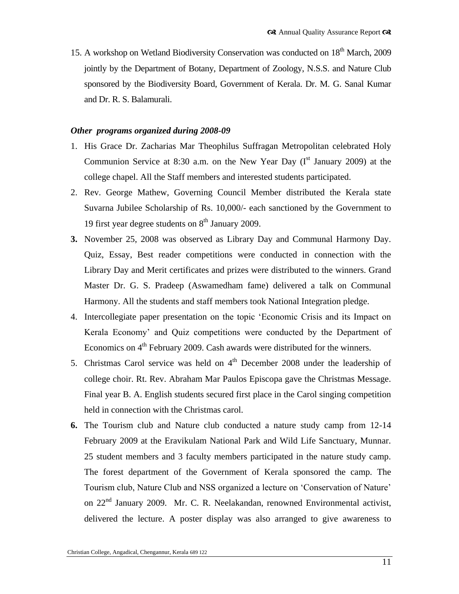15. A workshop on Wetland Biodiversity Conservation was conducted on 18<sup>th</sup> March, 2009 jointly by the Department of Botany, Department of Zoology, N.S.S. and Nature Club sponsored by the Biodiversity Board, Government of Kerala. Dr. M. G. Sanal Kumar and Dr. R. S. Balamurali.

#### *Other programs organized during 2008-09*

- 1. His Grace Dr. Zacharias Mar Theophilus Suffragan Metropolitan celebrated Holy Communion Service at 8:30 a.m. on the New Year Day  $(I<sup>st</sup> January 2009)$  at the college chapel. All the Staff members and interested students participated.
- 2. Rev. George Mathew, Governing Council Member distributed the Kerala state Suvarna Jubilee Scholarship of Rs. 10,000/- each sanctioned by the Government to 19 first year degree students on  $8<sup>th</sup>$  January 2009.
- **3.** November 25, 2008 was observed as Library Day and Communal Harmony Day. Quiz, Essay, Best reader competitions were conducted in connection with the Library Day and Merit certificates and prizes were distributed to the winners. Grand Master Dr. G. S. Pradeep (Aswamedham fame) delivered a talk on Communal Harmony. All the students and staff members took National Integration pledge.
- 4. Intercollegiate paper presentation on the topic "Economic Crisis and its Impact on Kerala Economy" and Quiz competitions were conducted by the Department of Economics on  $4<sup>th</sup>$  February 2009. Cash awards were distributed for the winners.
- 5. Christmas Carol service was held on  $4<sup>th</sup>$  December 2008 under the leadership of college choir. Rt. Rev. Abraham Mar Paulos Episcopa gave the Christmas Message. Final year B. A. English students secured first place in the Carol singing competition held in connection with the Christmas carol.
- **6.** The Tourism club and Nature club conducted a nature study camp from 12-14 February 2009 at the Eravikulam National Park and Wild Life Sanctuary, Munnar. 25 student members and 3 faculty members participated in the nature study camp. The forest department of the Government of Kerala sponsored the camp. The Tourism club, Nature Club and NSS organized a lecture on "Conservation of Nature" on 22<sup>nd</sup> January 2009. Mr. C. R. Neelakandan, renowned Environmental activist, delivered the lecture. A poster display was also arranged to give awareness to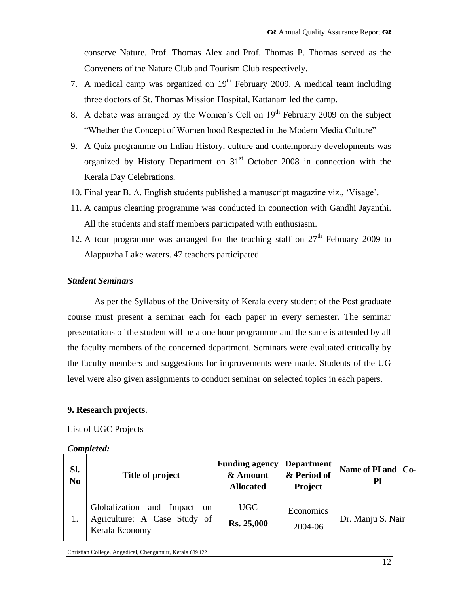conserve Nature. Prof. Thomas Alex and Prof. Thomas P. Thomas served as the Conveners of the Nature Club and Tourism Club respectively.

- 7. A medical camp was organized on  $19<sup>th</sup>$  February 2009. A medical team including three doctors of St. Thomas Mission Hospital, Kattanam led the camp.
- 8. A debate was arranged by the Women's Cell on  $19<sup>th</sup>$  February 2009 on the subject "Whether the Concept of Women hood Respected in the Modern Media Culture"
- 9. A Quiz programme on Indian History, culture and contemporary developments was organized by History Department on  $31<sup>st</sup>$  October 2008 in connection with the Kerala Day Celebrations.
- 10. Final year B. A. English students published a manuscript magazine viz., "Visage".
- 11. A campus cleaning programme was conducted in connection with Gandhi Jayanthi. All the students and staff members participated with enthusiasm.
- 12. A tour programme was arranged for the teaching staff on  $27<sup>th</sup>$  February 2009 to Alappuzha Lake waters. 47 teachers participated.

## *Student Seminars*

As per the Syllabus of the University of Kerala every student of the Post graduate course must present a seminar each for each paper in every semester. The seminar presentations of the student will be a one hour programme and the same is attended by all the faculty members of the concerned department. Seminars were evaluated critically by the faculty members and suggestions for improvements were made. Students of the UG level were also given assignments to conduct seminar on selected topics in each papers.

# **9. Research projects**.

List of UGC Projects

| Sl.<br>N <sub>0</sub> | Title of project                                                                            | <b>Funding agency</b><br>& Amount<br><b>Allocated</b> | <b>Department</b><br>& Period of<br>Project | Name of PI and Co-<br>PI |
|-----------------------|---------------------------------------------------------------------------------------------|-------------------------------------------------------|---------------------------------------------|--------------------------|
|                       | Globalization and Impact<br><sub>on</sub><br>Agriculture: A Case Study of<br>Kerala Economy | UGC<br><b>Rs. 25,000</b>                              | Economics<br>2004-06                        | Dr. Manju S. Nair        |

Christian College, Angadical, Chengannur, Kerala 689 122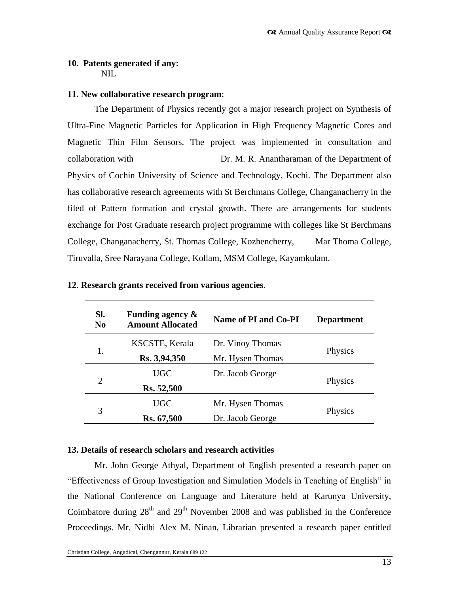# **10. Patents generated if any:** NIL.

# **11. New collaborative research program**:

The Department of Physics recently got a major research project on Synthesis of Ultra-Fine Magnetic Particles for Application in High Frequency Magnetic Cores and Magnetic Thin Film Sensors. The project was implemented in consultation and collaboration with Dr. M. R. Anantharaman of the Department of Physics of Cochin University of Science and Technology, Kochi. The Department also has collaborative research agreements with St Berchmans College, Changanacherry in the filed of Pattern formation and crystal growth. There are arrangements for students exchange for Post Graduate research project programme with colleges like St Berchmans College, Changanacherry, St. Thomas College, Kozhencherry, Mar Thoma College, Tiruvalla, Sree Narayana College, Kollam, MSM College, Kayamkulam.

| SI.<br>N <sub>0</sub> | Funding agency $\&$<br><b>Amount Allocated</b> | Name of PI and Co-PI | <b>Department</b> |  |
|-----------------------|------------------------------------------------|----------------------|-------------------|--|
|                       | KSCSTE, Kerala                                 | Dr. Vinoy Thomas     |                   |  |
|                       | Rs. 3,94,350                                   | Mr. Hysen Thomas     | Physics           |  |
| $\overline{2}$        | <b>UGC</b>                                     | Dr. Jacob George     |                   |  |
|                       | Rs. 52,500                                     |                      | Physics           |  |
| 3                     | <b>UGC</b>                                     | Mr. Hysen Thomas     |                   |  |
|                       | Rs. 67,500                                     | Dr. Jacob George     | Physics           |  |

## **12**. **Research grants received from various agencies**.

# **13. Details of research scholars and research activities**

Mr. John George Athyal, Department of English presented a research paper on "Effectiveness of Group Investigation and Simulation Models in Teaching of English" in the National Conference on Language and Literature held at Karunya University, Coimbatore during  $28<sup>th</sup>$  and  $29<sup>th</sup>$  November 2008 and was published in the Conference Proceedings. Mr. Nidhi Alex M. Ninan, Librarian presented a research paper entitled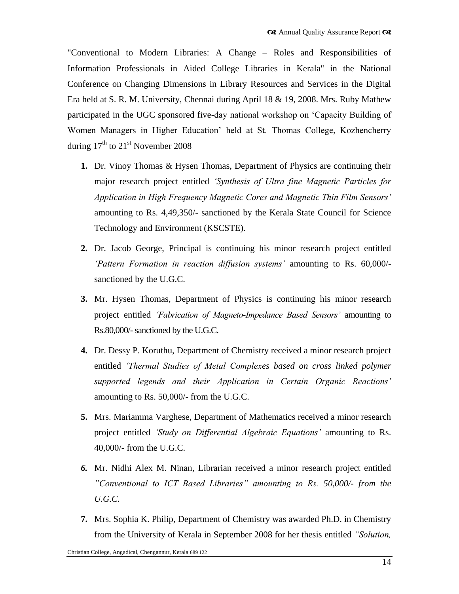"Conventional to Modern Libraries: A Change – Roles and Responsibilities of Information Professionals in Aided College Libraries in Kerala" in the National Conference on Changing Dimensions in Library Resources and Services in the Digital Era held at S. R. M. University, Chennai during April 18 & 19, 2008. Mrs. Ruby Mathew participated in the UGC sponsored five-day national workshop on "Capacity Building of Women Managers in Higher Education" held at St. Thomas College, Kozhencherry during  $17<sup>th</sup>$  to  $21<sup>st</sup>$  November 2008

- **1.** Dr. Vinoy Thomas & Hysen Thomas, Department of Physics are continuing their major research project entitled *"Synthesis of Ultra fine Magnetic Particles for Application in High Frequency Magnetic Cores and Magnetic Thin Film Sensors"* amounting to Rs. 4,49,350/- sanctioned by the Kerala State Council for Science Technology and Environment (KSCSTE).
- **2.** Dr. Jacob George, Principal is continuing his minor research project entitled *"Pattern Formation in reaction diffusion systems"* amounting to Rs. 60,000/ sanctioned by the U.G.C.
- **3.** Mr. Hysen Thomas, Department of Physics is continuing his minor research project entitled *"Fabrication of Magneto-Impedance Based Sensors"* amounting to Rs.80,000/-sanctioned by the U.G.C.
- **4.** Dr. Dessy P. Koruthu, Department of Chemistry received a minor research project entitled *"Thermal Studies of Metal Complexes based on cross linked polymer supported legends and their Application in Certain Organic Reactions"* amounting to Rs. 50,000/- from the U.G.C.
- **5.** Mrs. Mariamma Varghese, Department of Mathematics received a minor research project entitled *"Study on Differential Algebraic Equations"* amounting to Rs. 40,000/- from the U.G.C.
- *6.* Mr. Nidhi Alex M. Ninan, Librarian received a minor research project entitled *"Conventional to ICT Based Libraries" amounting to Rs. 50,000/- from the U.G.C.*
- **7.** Mrs. Sophia K. Philip, Department of Chemistry was awarded Ph.D. in Chemistry from the University of Kerala in September 2008 for her thesis entitled *"Solution,*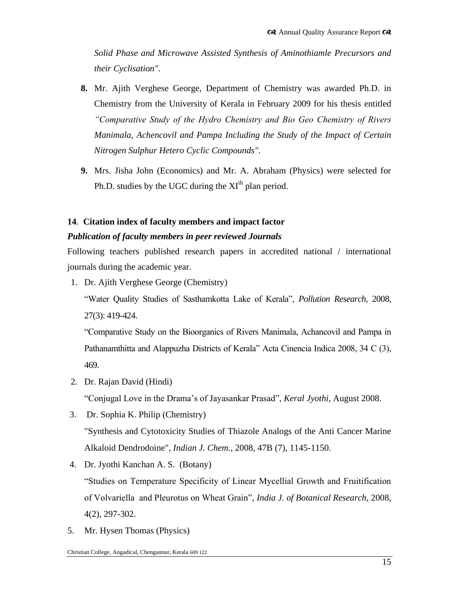*Solid Phase and Microwave Assisted Synthesis of Aminothiamle Precursors and their Cyclisation"*.

- **8.** Mr. Ajith Verghese George, Department of Chemistry was awarded Ph.D. in Chemistry from the University of Kerala in February 2009 for his thesis entitled *"Comparative Study of the Hydro Chemistry and Bio Geo Chemistry of Rivers Manimala, Achencovil and Pampa Including the Study of the Impact of Certain Nitrogen Sulphur Hetero Cyclic Compounds"*.
- **9.** Mrs. Jisha John (Economics) and Mr. A. Abraham (Physics) were selected for Ph.D. studies by the UGC during the  $XI<sup>th</sup>$  plan period.

# **14**. **Citation index of faculty members and impact factor**

# *Publication of faculty members in peer reviewed Journals*

Following teachers published research papers in accredited national / international journals during the academic year.

1. Dr. Ajith Verghese George (Chemistry)

"Water Quality Studies of Sasthamkotta Lake of Kerala", *Pollution Research*, 2008, 27(3): 419-424.

"Comparative Study on the Bioorganics of Rivers Manimala, Achancovil and Pampa in Pathanamthitta and Alappuzha Districts of Kerala" Acta Cinencia Indica 2008, 34 C (3), 469.

2. Dr. Rajan David (Hindi)

"Conjugal Love in the Drama"s of Jayasankar Prasad", *Keral Jyothi*, August 2008.

- 3. Dr. Sophia K. Philip (Chemistry) "Synthesis and Cytotoxicity Studies of Thiazole Analogs of the Anti Cancer Marine Alkaloid Dendrodoine", *Indian J. Chem.,* 2008, 47B (7), 1145-1150.
- 4. Dr. Jyothi Kanchan A. S. (Botany) "Studies on Temperature Specificity of Linear Mycellial Growth and Fruitification of Volvariella and Pleurotus on Wheat Grain", *India J. of Botanical Research*, 2008, 4(2), 297-302.
- 5. Mr. Hysen Thomas (Physics)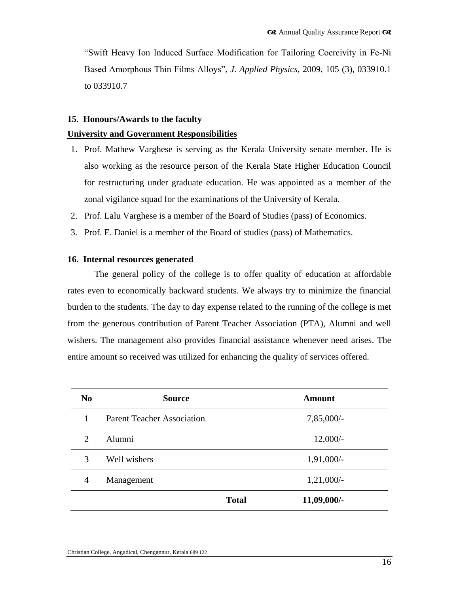"Swift Heavy Ion Induced Surface Modification for Tailoring Coercivity in Fe-Ni Based Amorphous Thin Films Alloys", *J. Applied Physics,* 2009, 105 (3), 033910.1 to 033910.7

## **15**. **Honours/Awards to the faculty**

## **University and Government Responsibilities**

- 1. Prof. Mathew Varghese is serving as the Kerala University senate member. He is also working as the resource person of the Kerala State Higher Education Council for restructuring under graduate education. He was appointed as a member of the zonal vigilance squad for the examinations of the University of Kerala.
- 2. Prof. Lalu Varghese is a member of the Board of Studies (pass) of Economics.
- 3. Prof. E. Daniel is a member of the Board of studies (pass) of Mathematics.

## **16. Internal resources generated**

The general policy of the college is to offer quality of education at affordable rates even to economically backward students. We always try to minimize the financial burden to the students. The day to day expense related to the running of the college is met from the generous contribution of Parent Teacher Association (PTA), Alumni and well wishers. The management also provides financial assistance whenever need arises. The entire amount so received was utilized for enhancing the quality of services offered.

| N <sub>0</sub>              | <b>Source</b>                     |              | <b>Amount</b> |  |  |
|-----------------------------|-----------------------------------|--------------|---------------|--|--|
| 1                           | <b>Parent Teacher Association</b> |              | $7,85,000/-$  |  |  |
| $\mathcal{D}_{\mathcal{L}}$ | Alumni                            |              | $12,000/-$    |  |  |
| 3                           | Well wishers                      |              | $1,91,000/-$  |  |  |
| 4                           | Management                        |              | $1,21,000/-$  |  |  |
|                             |                                   | <b>Total</b> | 11,09,000/-   |  |  |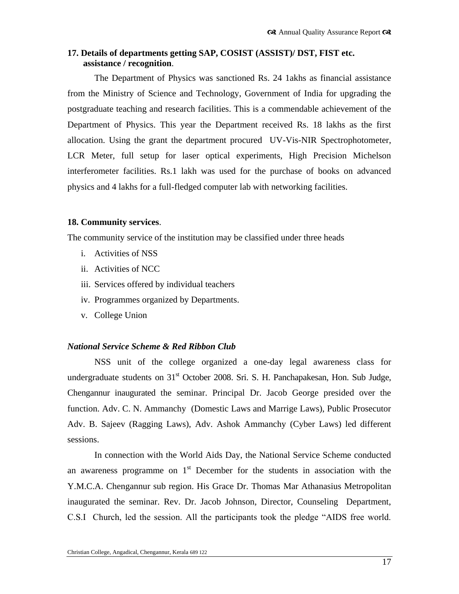# **17. Details of departments getting SAP, COSIST (ASSIST)/ DST, FIST etc. assistance / recognition**.

The Department of Physics was sanctioned Rs. 24 1akhs as financial assistance from the Ministry of Science and Technology, Government of India for upgrading the postgraduate teaching and research facilities. This is a commendable achievement of the Department of Physics. This year the Department received Rs. 18 lakhs as the first allocation. Using the grant the department procured UV-Vis-NIR Spectrophotometer, LCR Meter, full setup for laser optical experiments, High Precision Michelson interferometer facilities. Rs.1 lakh was used for the purchase of books on advanced physics and 4 lakhs for a full-fledged computer lab with networking facilities.

## **18. Community services**.

The community service of the institution may be classified under three heads

- i. Activities of NSS
- ii. Activities of NCC
- iii. Services offered by individual teachers
- iv. Programmes organized by Departments.
- v. College Union

#### *National Service Scheme & Red Ribbon Club*

NSS unit of the college organized a one-day legal awareness class for undergraduate students on  $31<sup>st</sup>$  October 2008. Sri. S. H. Panchapakesan, Hon. Sub Judge, Chengannur inaugurated the seminar. Principal Dr. Jacob George presided over the function. Adv. C. N. Ammanchy (Domestic Laws and Marrige Laws), Public Prosecutor Adv. B. Sajeev (Ragging Laws), Adv. Ashok Ammanchy (Cyber Laws) led different sessions.

In connection with the World Aids Day, the National Service Scheme conducted an awareness programme on  $1<sup>st</sup>$  December for the students in association with the Y.M.C.A. Chengannur sub region. His Grace Dr. Thomas Mar Athanasius Metropolitan inaugurated the seminar. Rev. Dr. Jacob Johnson, Director, Counseling Department, C.S.I Church, led the session. All the participants took the pledge "AIDS free world.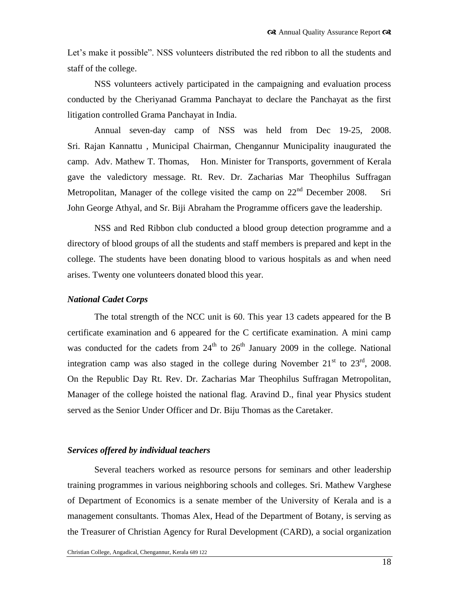Let's make it possible". NSS volunteers distributed the red ribbon to all the students and staff of the college.

NSS volunteers actively participated in the campaigning and evaluation process conducted by the Cheriyanad Gramma Panchayat to declare the Panchayat as the first litigation controlled Grama Panchayat in India.

Annual seven-day camp of NSS was held from Dec 19-25, 2008. Sri. Rajan Kannattu , Municipal Chairman, Chengannur Municipality inaugurated the camp. Adv. Mathew T. Thomas, Hon. Minister for Transports, government of Kerala gave the valedictory message. Rt. Rev. Dr. Zacharias Mar Theophilus Suffragan Metropolitan, Manager of the college visited the camp on  $22<sup>nd</sup>$  December 2008. Sri John George Athyal, and Sr. Biji Abraham the Programme officers gave the leadership.

NSS and Red Ribbon club conducted a blood group detection programme and a directory of blood groups of all the students and staff members is prepared and kept in the college. The students have been donating blood to various hospitals as and when need arises. Twenty one volunteers donated blood this year.

#### *National Cadet Corps*

The total strength of the NCC unit is 60. This year 13 cadets appeared for the B certificate examination and 6 appeared for the C certificate examination. A mini camp was conducted for the cadets from  $24<sup>th</sup>$  to  $26<sup>th</sup>$  January 2009 in the college. National integration camp was also staged in the college during November  $21<sup>st</sup>$  to  $23<sup>rd</sup>$ , 2008. On the Republic Day Rt. Rev. Dr. Zacharias Mar Theophilus Suffragan Metropolitan, Manager of the college hoisted the national flag. Aravind D., final year Physics student served as the Senior Under Officer and Dr. Biju Thomas as the Caretaker.

#### *Services offered by individual teachers*

Several teachers worked as resource persons for seminars and other leadership training programmes in various neighboring schools and colleges. Sri. Mathew Varghese of Department of Economics is a senate member of the University of Kerala and is a management consultants. Thomas Alex, Head of the Department of Botany, is serving as the Treasurer of Christian Agency for Rural Development (CARD), a social organization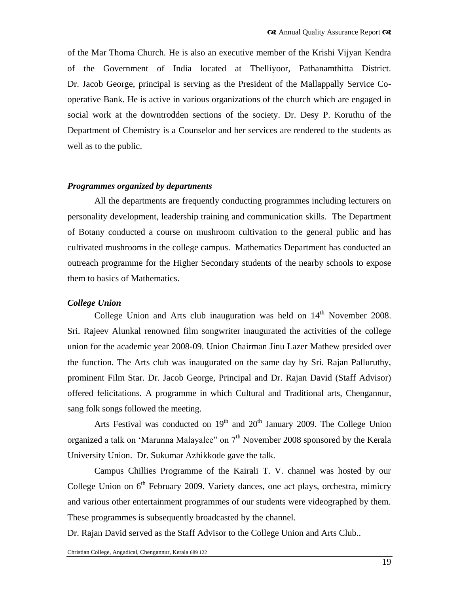of the Mar Thoma Church. He is also an executive member of the Krishi Vijyan Kendra of the Government of India located at Thelliyoor, Pathanamthitta District. Dr. Jacob George, principal is serving as the President of the Mallappally Service Cooperative Bank. He is active in various organizations of the church which are engaged in social work at the downtrodden sections of the society. Dr. Desy P. Koruthu of the Department of Chemistry is a Counselor and her services are rendered to the students as well as to the public.

#### *Programmes organized by departments*

All the departments are frequently conducting programmes including lecturers on personality development, leadership training and communication skills. The Department of Botany conducted a course on mushroom cultivation to the general public and has cultivated mushrooms in the college campus. Mathematics Department has conducted an outreach programme for the Higher Secondary students of the nearby schools to expose them to basics of Mathematics.

#### *College Union*

College Union and Arts club inauguration was held on  $14<sup>th</sup>$  November 2008. Sri. Rajeev Alunkal renowned film songwriter inaugurated the activities of the college union for the academic year 2008-09. Union Chairman Jinu Lazer Mathew presided over the function. The Arts club was inaugurated on the same day by Sri. Rajan Palluruthy, prominent Film Star. Dr. Jacob George, Principal and Dr. Rajan David (Staff Advisor) offered felicitations. A programme in which Cultural and Traditional arts, Chengannur, sang folk songs followed the meeting.

Arts Festival was conducted on  $19<sup>th</sup>$  and  $20<sup>th</sup>$  January 2009. The College Union organized a talk on 'Marunna Malayalee'' on  $7<sup>th</sup>$  November 2008 sponsored by the Kerala University Union. Dr. Sukumar Azhikkode gave the talk.

Campus Chillies Programme of the Kairali T. V. channel was hosted by our College Union on  $6<sup>th</sup>$  February 2009. Variety dances, one act plays, orchestra, mimicry and various other entertainment programmes of our students were videographed by them. These programmes is subsequently broadcasted by the channel.

Dr. Rajan David served as the Staff Advisor to the College Union and Arts Club..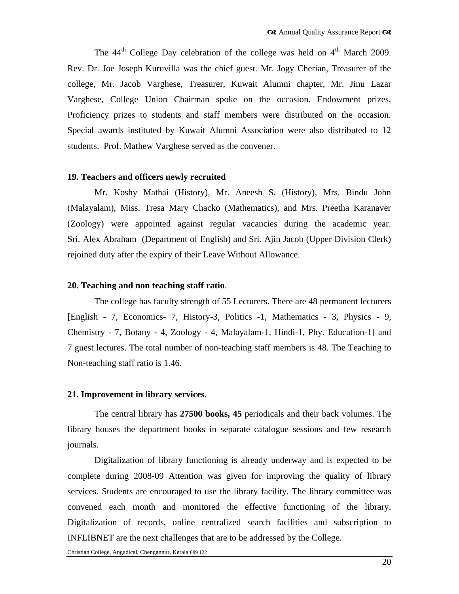The  $44<sup>th</sup>$  College Day celebration of the college was held on  $4<sup>th</sup>$  March 2009. Rev. Dr. Joe Joseph Kuruvilla was the chief guest. Mr. Jogy Cherian, Treasurer of the college, Mr. Jacob Varghese, Treasurer, Kuwait Alumni chapter, Mr. Jinu Lazar Varghese, College Union Chairman spoke on the occasion. Endowment prizes, Proficiency prizes to students and staff members were distributed on the occasion. Special awards instituted by Kuwait Alumni Association were also distributed to 12 students. Prof. Mathew Varghese served as the convener.

#### **19. Teachers and officers newly recruited**

Mr. Koshy Mathai (History), Mr. Aneesh S. (History), Mrs. Bindu John (Malayalam), Miss. Tresa Mary Chacko (Mathematics), and Mrs. Preetha Karanaver (Zoology) were appointed against regular vacancies during the academic year. Sri. Alex Abraham (Department of English) and Sri. Ajin Jacob (Upper Division Clerk) rejoined duty after the expiry of their Leave Without Allowance.

#### **20. Teaching and non teaching staff ratio**.

The college has faculty strength of 55 Lecturers. There are 48 permanent lecturers [English - 7, Economics- 7, History-3, Politics -1, Mathematics - 3, Physics - 9, Chemistry - 7, Botany - 4, Zoology - 4, Malayalam-1, Hindi-1, Phy. Education-1] and 7 guest lectures. The total number of non-teaching staff members is 48. The Teaching to Non-teaching staff ratio is 1.46.

#### **21. Improvement in library services**.

The central library has **27500 books, 45** periodicals and their back volumes. The library houses the department books in separate catalogue sessions and few research journals.

Digitalization of library functioning is already underway and is expected to be complete during 2008-09 Attention was given for improving the quality of library services. Students are encouraged to use the library facility. The library committee was convened each month and monitored the effective functioning of the library. Digitalization of records, online centralized search facilities and subscription to INFLIBNET are the next challenges that are to be addressed by the College.

Christian College, Angadical, Chengannur, Kerala 689 122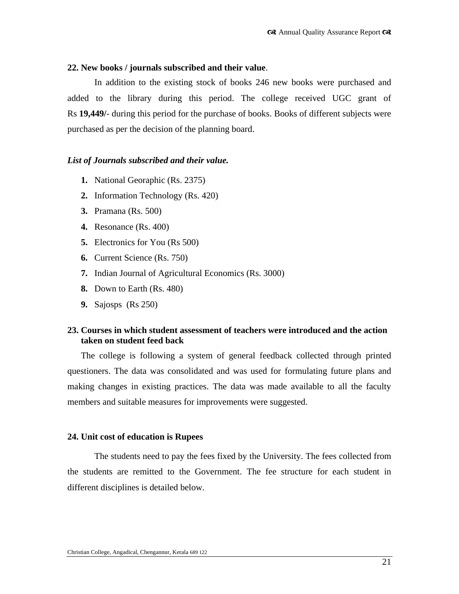## **22. New books / journals subscribed and their value**.

In addition to the existing stock of books 246 new books were purchased and added to the library during this period. The college received UGC grant of Rs **19,449/**- during this period for the purchase of books. Books of different subjects were purchased as per the decision of the planning board.

## *List of Journals subscribed and their value.*

- **1.** National Georaphic (Rs. 2375)
- **2.** Information Technology (Rs. 420)
- **3.** Pramana (Rs. 500)
- **4.** Resonance (Rs. 400)
- **5.** Electronics for You (Rs 500)
- **6.** Current Science (Rs. 750)
- **7.** Indian Journal of Agricultural Economics (Rs. 3000)
- **8.** Down to Earth (Rs. 480)
- **9.** Sajosps (Rs 250)

# **23. Courses in which student assessment of teachers were introduced and the action taken on student feed back**

The college is following a system of general feedback collected through printed questioners. The data was consolidated and was used for formulating future plans and making changes in existing practices. The data was made available to all the faculty members and suitable measures for improvements were suggested.

# **24. Unit cost of education is Rupees**

The students need to pay the fees fixed by the University. The fees collected from the students are remitted to the Government. The fee structure for each student in different disciplines is detailed below.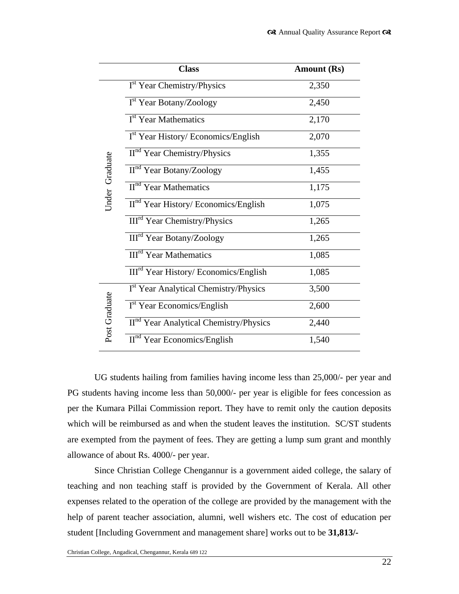|                | <b>Class</b>                                      | <b>Amount (Rs)</b> |
|----------------|---------------------------------------------------|--------------------|
| Under Graduate | I <sup>st</sup> Year Chemistry/Physics            | 2,350              |
|                | I <sup>st</sup> Year Botany/Zoology               | 2,450              |
|                | I <sup>st</sup> Year Mathematics                  | 2,170              |
|                | $Ist Year History/ Economics/English$             | 2,070              |
|                | $IInd Year Chemistry/Physics$                     | 1,355              |
|                | II <sup>nd</sup> Year Botany/Zoology              | 1,455              |
|                | II <sup>nd</sup> Year Mathematics                 | 1,175              |
|                | II <sup>nd</sup> Year History/ Economics/English  | 1,075              |
|                | III <sup>rd</sup> Year Chemistry/Physics          | 1,265              |
|                | <b>III<sup>rd</sup></b> Year Botany/Zoology       | 1,265              |
|                | <b>III<sup>rd</sup></b> Year Mathematics          | 1,085              |
|                | III <sup>rd</sup> Year History/ Economics/English | 1,085              |
| Post Graduate  | I <sup>st</sup> Year Analytical Chemistry/Physics | 3,500              |
|                | I <sup>st</sup> Year Economics/English            | 2,600              |
|                | $IInd Year Analytical Chemistry/Physics$          | 2,440              |
|                | $IInd Year Economics/English$                     | 1,540              |

UG students hailing from families having income less than 25,000/- per year and PG students having income less than 50,000/- per year is eligible for fees concession as per the Kumara Pillai Commission report. They have to remit only the caution deposits which will be reimbursed as and when the student leaves the institution. SC/ST students are exempted from the payment of fees. They are getting a lump sum grant and monthly allowance of about Rs. 4000/- per year.

Since Christian College Chengannur is a government aided college, the salary of teaching and non teaching staff is provided by the Government of Kerala. All other expenses related to the operation of the college are provided by the management with the help of parent teacher association, alumni, well wishers etc. The cost of education per student [Including Government and management share] works out to be **31,813/-**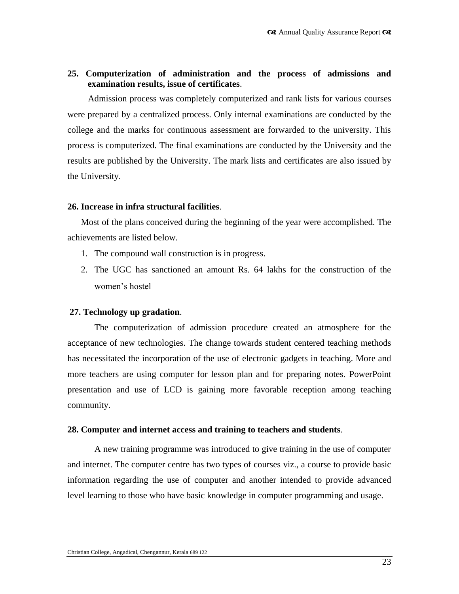## **25. Computerization of administration and the process of admissions and examination results, issue of certificates**.

Admission process was completely computerized and rank lists for various courses were prepared by a centralized process. Only internal examinations are conducted by the college and the marks for continuous assessment are forwarded to the university. This process is computerized. The final examinations are conducted by the University and the results are published by the University. The mark lists and certificates are also issued by the University.

#### **26. Increase in infra structural facilities**.

Most of the plans conceived during the beginning of the year were accomplished. The achievements are listed below.

- 1. The compound wall construction is in progress.
- 2. The UGC has sanctioned an amount Rs. 64 lakhs for the construction of the women's hostel

#### **27. Technology up gradation**.

The computerization of admission procedure created an atmosphere for the acceptance of new technologies. The change towards student centered teaching methods has necessitated the incorporation of the use of electronic gadgets in teaching. More and more teachers are using computer for lesson plan and for preparing notes. PowerPoint presentation and use of LCD is gaining more favorable reception among teaching community.

#### **28. Computer and internet access and training to teachers and students**.

A new training programme was introduced to give training in the use of computer and internet. The computer centre has two types of courses viz., a course to provide basic information regarding the use of computer and another intended to provide advanced level learning to those who have basic knowledge in computer programming and usage.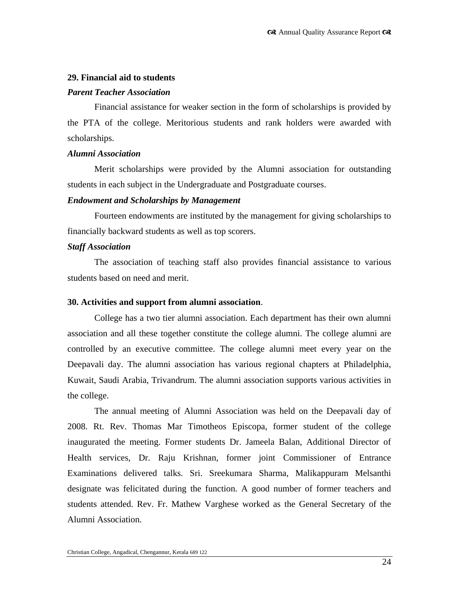#### **29. Financial aid to students**

#### *Parent Teacher Association*

Financial assistance for weaker section in the form of scholarships is provided by the PTA of the college. Meritorious students and rank holders were awarded with scholarships.

#### *Alumni Association*

Merit scholarships were provided by the Alumni association for outstanding students in each subject in the Undergraduate and Postgraduate courses.

#### *Endowment and Scholarships by Management*

Fourteen endowments are instituted by the management for giving scholarships to financially backward students as well as top scorers.

## *Staff Association*

The association of teaching staff also provides financial assistance to various students based on need and merit.

#### **30. Activities and support from alumni association**.

College has a two tier alumni association. Each department has their own alumni association and all these together constitute the college alumni. The college alumni are controlled by an executive committee. The college alumni meet every year on the Deepavali day. The alumni association has various regional chapters at Philadelphia, Kuwait, Saudi Arabia, Trivandrum. The alumni association supports various activities in the college.

The annual meeting of Alumni Association was held on the Deepavali day of 2008. Rt. Rev. Thomas Mar Timotheos Episcopa, former student of the college inaugurated the meeting. Former students Dr. Jameela Balan, Additional Director of Health services, Dr. Raju Krishnan, former joint Commissioner of Entrance Examinations delivered talks. Sri. Sreekumara Sharma, Malikappuram Melsanthi designate was felicitated during the function. A good number of former teachers and students attended. Rev. Fr. Mathew Varghese worked as the General Secretary of the Alumni Association.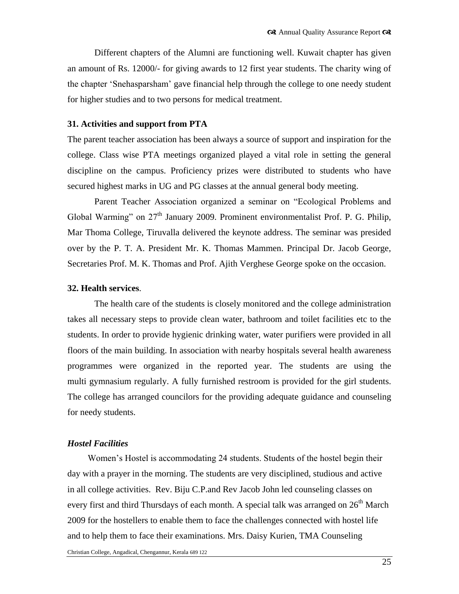Different chapters of the Alumni are functioning well. Kuwait chapter has given an amount of Rs. 12000/- for giving awards to 12 first year students. The charity wing of the chapter "Snehasparsham" gave financial help through the college to one needy student for higher studies and to two persons for medical treatment.

#### **31. Activities and support from PTA**

The parent teacher association has been always a source of support and inspiration for the college. Class wise PTA meetings organized played a vital role in setting the general discipline on the campus. Proficiency prizes were distributed to students who have secured highest marks in UG and PG classes at the annual general body meeting.

Parent Teacher Association organized a seminar on "Ecological Problems and Global Warming" on  $27<sup>th</sup>$  January 2009. Prominent environmentalist Prof. P. G. Philip, Mar Thoma College, Tiruvalla delivered the keynote address. The seminar was presided over by the P. T. A. President Mr. K. Thomas Mammen. Principal Dr. Jacob George, Secretaries Prof. M. K. Thomas and Prof. Ajith Verghese George spoke on the occasion.

#### **32. Health services**.

The health care of the students is closely monitored and the college administration takes all necessary steps to provide clean water, bathroom and toilet facilities etc to the students. In order to provide hygienic drinking water, water purifiers were provided in all floors of the main building. In association with nearby hospitals several health awareness programmes were organized in the reported year. The students are using the multi gymnasium regularly. A fully furnished restroom is provided for the girl students. The college has arranged councilors for the providing adequate guidance and counseling for needy students.

#### *Hostel Facilities*

Women"s Hostel is accommodating 24 students. Students of the hostel begin their day with a prayer in the morning. The students are very disciplined, studious and active in all college activities. Rev. Biju C.P.and Rev Jacob John led counseling classes on every first and third Thursdays of each month. A special talk was arranged on  $26<sup>th</sup>$  March 2009 for the hostellers to enable them to face the challenges connected with hostel life and to help them to face their examinations. Mrs. Daisy Kurien, TMA Counseling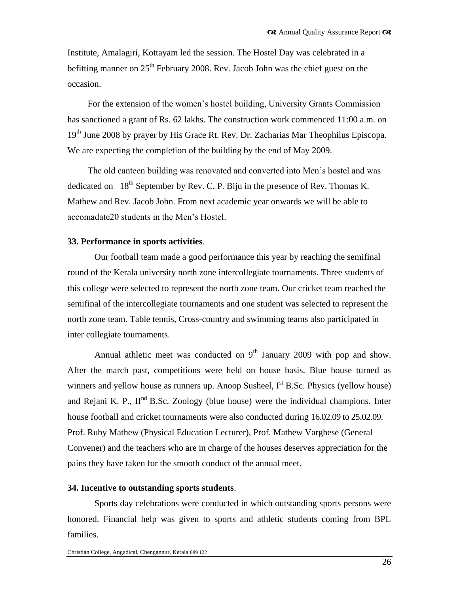Institute, Amalagiri, Kottayam led the session. The Hostel Day was celebrated in a befitting manner on  $25<sup>th</sup>$  February 2008. Rev. Jacob John was the chief guest on the occasion.

For the extension of the women"s hostel building, University Grants Commission has sanctioned a grant of Rs. 62 lakhs. The construction work commenced 11:00 a.m. on 19<sup>th</sup> June 2008 by prayer by His Grace Rt. Rev. Dr. Zacharias Mar Theophilus Episcopa. We are expecting the completion of the building by the end of May 2009.

The old canteen building was renovated and converted into Men"s hostel and was dedicated on  $18<sup>th</sup>$  September by Rev. C. P. Biju in the presence of Rev. Thomas K. Mathew and Rev. Jacob John. From next academic year onwards we will be able to accomadate20 students in the Men"s Hostel.

#### **33. Performance in sports activities**.

Our football team made a good performance this year by reaching the semifinal round of the Kerala university north zone intercollegiate tournaments. Three students of this college were selected to represent the north zone team. Our cricket team reached the semifinal of the intercollegiate tournaments and one student was selected to represent the north zone team. Table tennis, Cross-country and swimming teams also participated in inter collegiate tournaments.

Annual athletic meet was conducted on  $9<sup>th</sup>$  January 2009 with pop and show. After the march past, competitions were held on house basis. Blue house turned as winners and yellow house as runners up. Anoop Susheel,  $I<sup>st</sup>$  B.Sc. Physics (yellow house) and Rejani K. P.,  $II<sup>nd</sup>$  B.Sc. Zoology (blue house) were the individual champions. Inter house football and cricket tournaments were also conducted during 16.02.09 to 25.02.09. Prof. Ruby Mathew (Physical Education Lecturer), Prof. Mathew Varghese (General Convener) and the teachers who are in charge of the houses deserves appreciation for the pains they have taken for the smooth conduct of the annual meet.

#### **34. Incentive to outstanding sports students**.

Sports day celebrations were conducted in which outstanding sports persons were honored. Financial help was given to sports and athletic students coming from BPL families.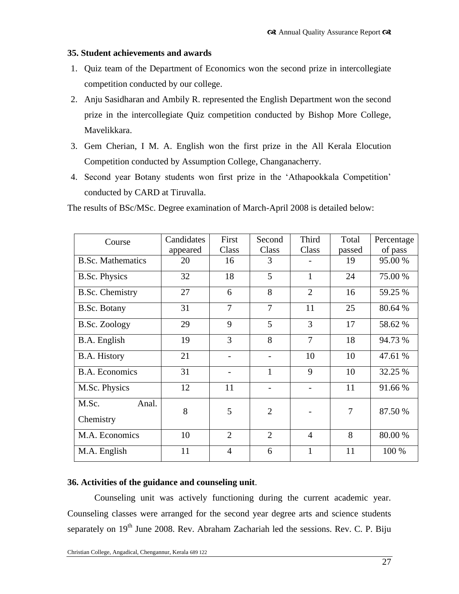# **35. Student achievements and awards**

- 1. Quiz team of the Department of Economics won the second prize in intercollegiate competition conducted by our college.
- 2. Anju Sasidharan and Ambily R. represented the English Department won the second prize in the intercollegiate Quiz competition conducted by Bishop More College, Mavelikkara.
- 3. Gem Cherian, I M. A. English won the first prize in the All Kerala Elocution Competition conducted by Assumption College, Changanacherry.
- 4. Second year Botany students won first prize in the "Athapookkala Competition" conducted by CARD at Tiruvalla.

The results of BSc/MSc. Degree examination of March-April 2008 is detailed below:

| Course                      | Candidates<br>appeared | First<br>Class | Second<br>Class | Third<br>Class | Total<br>passed | Percentage<br>of pass |
|-----------------------------|------------------------|----------------|-----------------|----------------|-----------------|-----------------------|
| <b>B.Sc. Mathematics</b>    | 20                     | 16             | 3               |                | 19              | 95.00 %               |
| <b>B.Sc. Physics</b>        | 32                     | 18             | 5               | $\mathbf{1}$   | 24              | 75.00 %               |
| <b>B.Sc. Chemistry</b>      | 27                     | 6              | 8               | $\overline{2}$ | 16              | 59.25 %               |
| <b>B.Sc. Botany</b>         | 31                     | $\overline{7}$ | $\overline{7}$  | 11             | 25              | 80.64 %               |
| <b>B.Sc. Zoology</b>        | 29                     | 9              | 5               | 3              | 17              | 58.62 %               |
| B.A. English                | 19                     | 3              | 8               | $\overline{7}$ | 18              | 94.73 %               |
| B.A. History                | 21                     |                | $\overline{a}$  | 10             | 10              | 47.61 %               |
| <b>B.A.</b> Economics       | 31                     |                | $\mathbf{1}$    | 9              | 10              | 32.25 %               |
| M.Sc. Physics               | 12                     | 11             |                 |                | 11              | 91.66 %               |
| M.Sc.<br>Anal.<br>Chemistry | 8                      | 5              | $\overline{2}$  |                | 7               | 87.50 %               |
| M.A. Economics              | 10                     | $\overline{2}$ | $\overline{2}$  | $\overline{4}$ | 8               | 80.00 %               |
| M.A. English                | 11                     | $\overline{4}$ | 6               | $\mathbf{1}$   | 11              | 100 %                 |

# **36. Activities of the guidance and counseling unit**.

Counseling unit was actively functioning during the current academic year. Counseling classes were arranged for the second year degree arts and science students separately on 19<sup>th</sup> June 2008. Rev. Abraham Zachariah led the sessions. Rev. C. P. Biju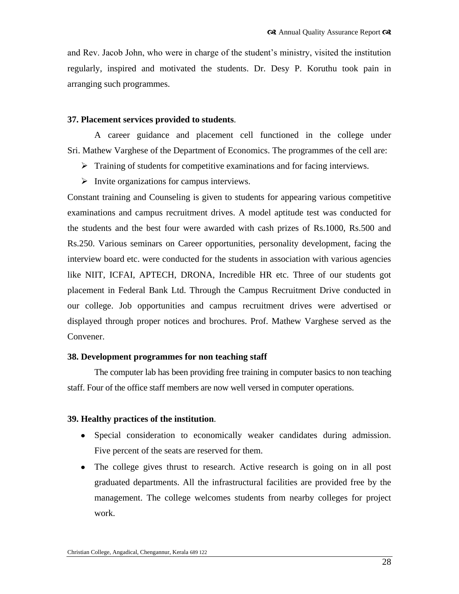and Rev. Jacob John, who were in charge of the student"s ministry, visited the institution regularly, inspired and motivated the students. Dr. Desy P. Koruthu took pain in arranging such programmes.

#### **37. Placement services provided to students**.

A career guidance and placement cell functioned in the college under Sri. Mathew Varghese of the Department of Economics. The programmes of the cell are:

- $\triangleright$  Training of students for competitive examinations and for facing interviews.
- $\triangleright$  Invite organizations for campus interviews.

Constant training and Counseling is given to students for appearing various competitive examinations and campus recruitment drives. A model aptitude test was conducted for the students and the best four were awarded with cash prizes of Rs.1000, Rs.500 and Rs.250. Various seminars on Career opportunities, personality development, facing the interview board etc. were conducted for the students in association with various agencies like NIIT, ICFAI, APTECH, DRONA, Incredible HR etc. Three of our students got placement in Federal Bank Ltd. Through the Campus Recruitment Drive conducted in our college. Job opportunities and campus recruitment drives were advertised or displayed through proper notices and brochures. Prof. Mathew Varghese served as the Convener.

#### **38. Development programmes for non teaching staff**

The computer lab has been providing free training in computer basics to non teaching staff. Four of the office staff members are now well versed in computer operations.

# **39. Healthy practices of the institution**.

- Special consideration to economically weaker candidates during admission. Five percent of the seats are reserved for them.
- The college gives thrust to research. Active research is going on in all post graduated departments. All the infrastructural facilities are provided free by the management. The college welcomes students from nearby colleges for project work.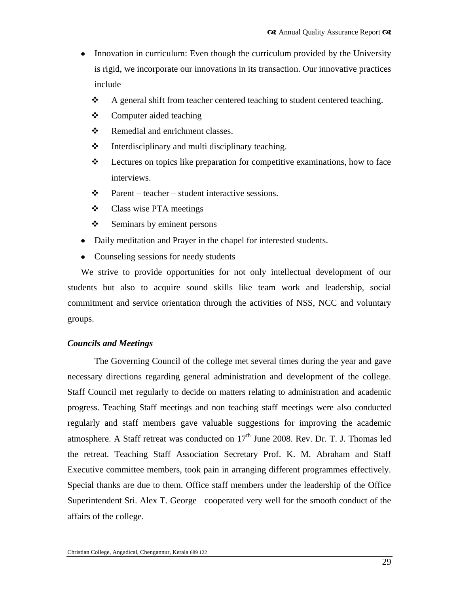- Innovation in curriculum: Even though the curriculum provided by the University  $\bullet$ is rigid, we incorporate our innovations in its transaction. Our innovative practices include
	- A general shift from teacher centered teaching to student centered teaching.
	- $\triangle$  Computer aided teaching
	- ❖ Remedial and enrichment classes.
	- $\triangle$  Interdisciplinary and multi disciplinary teaching.
	- $\div$  Lectures on topics like preparation for competitive examinations, how to face interviews.
	- $\mathbf{\hat{P}}$  Parent teacher student interactive sessions.
	- Class wise PTA meetings
	- $\div$  Seminars by eminent persons
- Daily meditation and Prayer in the chapel for interested students.
- Counseling sessions for needy students

We strive to provide opportunities for not only intellectual development of our students but also to acquire sound skills like team work and leadership, social commitment and service orientation through the activities of NSS, NCC and voluntary groups.

# *Councils and Meetings*

The Governing Council of the college met several times during the year and gave necessary directions regarding general administration and development of the college. Staff Council met regularly to decide on matters relating to administration and academic progress. Teaching Staff meetings and non teaching staff meetings were also conducted regularly and staff members gave valuable suggestions for improving the academic atmosphere. A Staff retreat was conducted on  $17<sup>th</sup>$  June 2008. Rev. Dr. T. J. Thomas led the retreat. Teaching Staff Association Secretary Prof. K. M. Abraham and Staff Executive committee members, took pain in arranging different programmes effectively. Special thanks are due to them. Office staff members under the leadership of the Office Superintendent Sri. Alex T. George cooperated very well for the smooth conduct of the affairs of the college.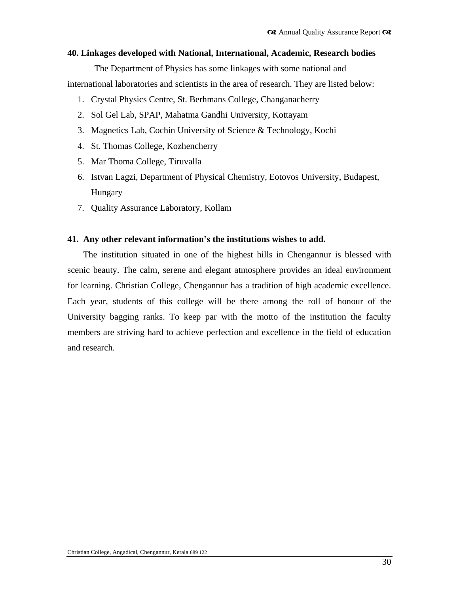#### **40. Linkages developed with National, International, Academic, Research bodies**

The Department of Physics has some linkages with some national and international laboratories and scientists in the area of research. They are listed below:

- 1. Crystal Physics Centre, St. Berhmans College, Changanacherry
- 2. Sol Gel Lab, SPAP, Mahatma Gandhi University, Kottayam
- 3. Magnetics Lab, Cochin University of Science & Technology, Kochi
- 4. St. Thomas College, Kozhencherry
- 5. Mar Thoma College, Tiruvalla
- 6. Istvan Lagzi, Department of Physical Chemistry, Eotovos University, Budapest, Hungary
- 7. Quality Assurance Laboratory, Kollam

### **41. Any other relevant information's the institutions wishes to add.**

The institution situated in one of the highest hills in Chengannur is blessed with scenic beauty. The calm, serene and elegant atmosphere provides an ideal environment for learning. Christian College, Chengannur has a tradition of high academic excellence. Each year, students of this college will be there among the roll of honour of the University bagging ranks. To keep par with the motto of the institution the faculty members are striving hard to achieve perfection and excellence in the field of education and research.